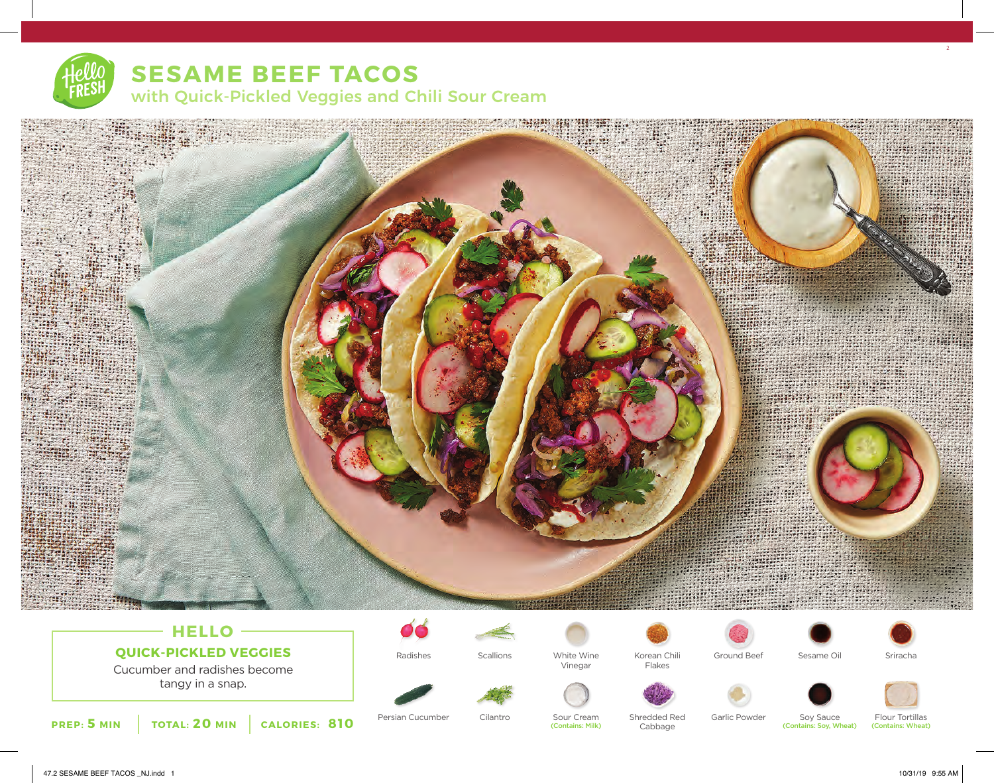# with Quick-Pickled Veggies and Chili Sour Cream



# **HELLO QUICK-PICKLED VEGGIES**

Cucumber and radishes become tangy in a snap.



Persian Cucumber Cilantro



Sour Cream (Contains: Milk)





Flakes

Cabbage





Ground Beef Sesame Oil



Soy Sauce (Contains: Soy, Wheat) Shredded Red Garlic Powder Soy Sauce Flour Tortillas

(Contains: Wheat)

47.2 SESAME BEEF TACOS NJ.indd 1 10/31/19 9:55 AM

2